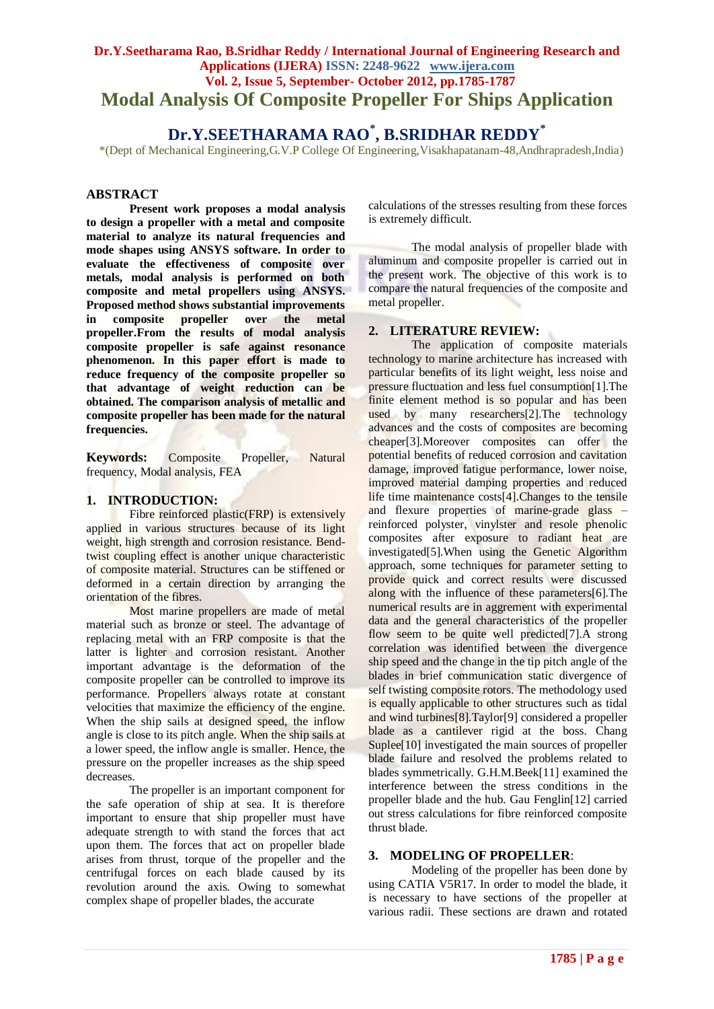## **Dr.Y.Seetharama Rao, B.Sridhar Reddy / International Journal of Engineering Research and Applications (IJERA) ISSN: 2248-9622 www.ijera.com Vol. 2, Issue 5, September- October 2012, pp.1785-1787 Modal Analysis Of Composite Propeller For Ships Application**

# **Dr.Y.SEETHARAMA RAO\* , B.SRIDHAR REDDY\***

\*(Dept of Mechanical Engineering,G.V.P College Of Engineering,Visakhapatanam-48,Andhrapradesh,India)

#### **ABSTRACT**

**Present work proposes a modal analysis to design a propeller with a metal and composite material to analyze its natural frequencies and mode shapes using ANSYS software. In order to evaluate the effectiveness of composite over metals, modal analysis is performed on both composite and metal propellers using ANSYS. Proposed method shows substantial improvements in composite propeller over the metal propeller.From the results of modal analysis composite propeller is safe against resonance phenomenon. In this paper effort is made to reduce frequency of the composite propeller so that advantage of weight reduction can be obtained. The comparison analysis of metallic and composite propeller has been made for the natural frequencies.** 

**Keywords:** Composite Propeller, Natural frequency, Modal analysis, FEA

## **1. INTRODUCTION:**

Fibre reinforced plastic(FRP) is extensively applied in various structures because of its light weight, high strength and corrosion resistance. Bendtwist coupling effect is another unique characteristic of composite material. Structures can be stiffened or deformed in a certain direction by arranging the orientation of the fibres.

Most marine propellers are made of metal material such as bronze or steel. The advantage of replacing metal with an FRP composite is that the latter is lighter and corrosion resistant. Another important advantage is the deformation of the composite propeller can be controlled to improve its performance. Propellers always rotate at constant velocities that maximize the efficiency of the engine. When the ship sails at designed speed, the inflow angle is close to its pitch angle. When the ship sails at a lower speed, the inflow angle is smaller. Hence, the pressure on the propeller increases as the ship speed decreases.

The propeller is an important component for the safe operation of ship at sea. It is therefore important to ensure that ship propeller must have adequate strength to with stand the forces that act upon them. The forces that act on propeller blade arises from thrust, torque of the propeller and the centrifugal forces on each blade caused by its revolution around the axis. Owing to somewhat complex shape of propeller blades, the accurate

calculations of the stresses resulting from these forces is extremely difficult.

The modal analysis of propeller blade with aluminum and composite propeller is carried out in the present work. The objective of this work is to compare the natural frequencies of the composite and metal propeller.

## **2. LITERATURE REVIEW:**

The application of composite materials technology to marine architecture has increased with particular benefits of its light weight, less noise and pressure fluctuation and less fuel consumption[1].The finite element method is so popular and has been used by many researchers[2].The technology advances and the costs of composites are becoming cheaper[3].Moreover composites can offer the potential benefits of reduced corrosion and cavitation damage, improved fatigue performance, lower noise, improved material damping properties and reduced life time maintenance costs[4].Changes to the tensile and flexure properties of marine-grade glass – reinforced polyster, vinylster and resole phenolic composites after exposure to radiant heat are investigated[5].When using the Genetic Algorithm approach, some techniques for parameter setting to provide quick and correct results were discussed along with the influence of these parameters[6].The numerical results are in aggrement with experimental data and the general characteristics of the propeller flow seem to be quite well predicted[7].A strong correlation was identified between the divergence ship speed and the change in the tip pitch angle of the blades in brief communication static divergence of self twisting composite rotors. The methodology used is equally applicable to other structures such as tidal and wind turbines[8].Taylor[9] considered a propeller blade as a cantilever rigid at the boss. Chang Suplee<sup>[10]</sup> investigated the main sources of propeller blade failure and resolved the problems related to blades symmetrically. G.H.M.Beek[11] examined the interference between the stress conditions in the propeller blade and the hub. Gau Fenglin[12] carried out stress calculations for fibre reinforced composite thrust blade.

#### **3. MODELING OF PROPELLER**:

Modeling of the propeller has been done by using CATIA V5R17. In order to model the blade, it is necessary to have sections of the propeller at various radii. These sections are drawn and rotated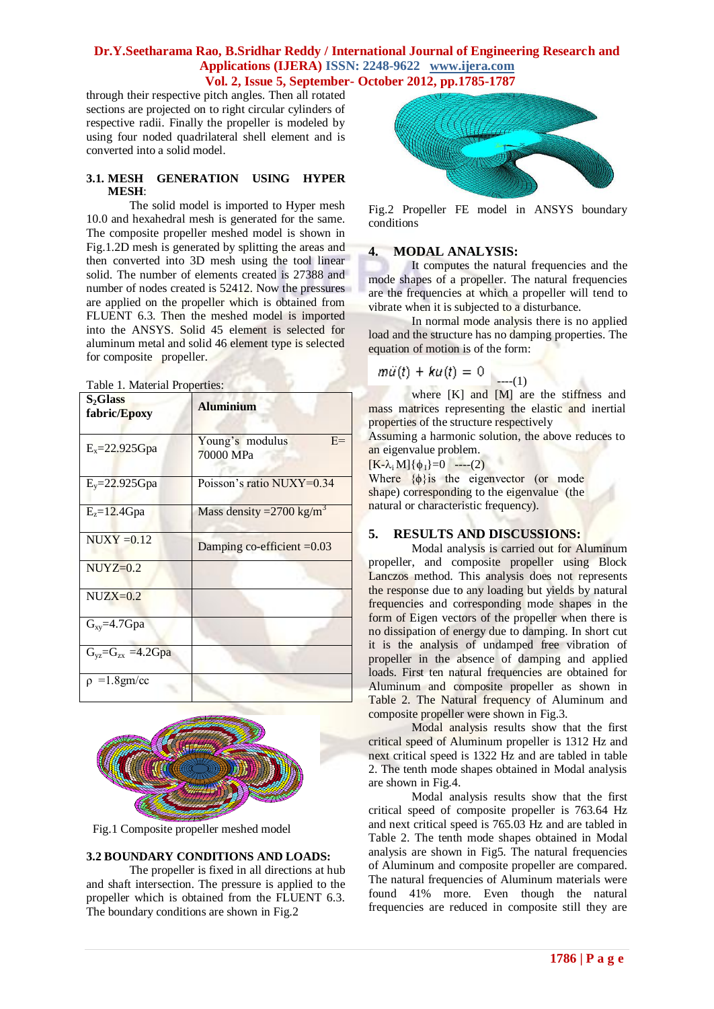## **Dr.Y.Seetharama Rao, B.Sridhar Reddy / International Journal of Engineering Research and Applications (IJERA) ISSN: 2248-9622 www.ijera.com Vol. 2, Issue 5, September- October 2012, pp.1785-1787**

through their respective pitch angles. Then all rotated sections are projected on to right circular cylinders of respective radii. Finally the propeller is modeled by using four noded quadrilateral shell element and is converted into a solid model.

#### **3.1. MESH GENERATION USING HYPER MESH**:

The solid model is imported to Hyper mesh 10.0 and hexahedral mesh is generated for the same. The composite propeller meshed model is shown in Fig.1.2D mesh is generated by splitting the areas and then converted into 3D mesh using the tool linear solid. The number of elements created is 27388 and number of nodes created is 52412. Now the pressures are applied on the propeller which is obtained from FLUENT 6.3. Then the meshed model is imported into the ANSYS. Solid 45 element is selected for aluminum metal and solid 46 element type is selected for composite propeller.

| Table 1. Material Properties: |  |
|-------------------------------|--|
|-------------------------------|--|

| $S_2$ Glass<br>fabric/Epoxy | <b>Aluminium</b>                     |
|-----------------------------|--------------------------------------|
| $E_x = 22.925Gpa$           | Young's modulus<br>$E=$<br>70000 MPa |
| $E_v = 22.925$ Gpa          | Poisson's ratio NUXY=0.34            |
| $E_{z} = 12.4 Gpa$          | Mass density = $2700 \text{ kg/m}^3$ |
| $NUXY = 0.12$               | Damping co-efficient $=0.03$         |
| $NUYZ=0.2$                  |                                      |
| $NUZX=0.2$                  |                                      |
| $G_{xy} = 4.7 Gpa$          |                                      |
| $G_{yz} = G_{zx} = 4.2 Gpa$ |                                      |
| $\rho = 1.8$ gm/cc          |                                      |



Fig.1 Composite propeller meshed model

#### **3.2 BOUNDARY CONDITIONS AND LOADS:**

The propeller is fixed in all directions at hub and shaft intersection. The pressure is applied to the propeller which is obtained from the FLUENT 6.3. The boundary conditions are shown in Fig.2



Fig.2 Propeller FE model in ANSYS boundary conditions

#### **4. MODAL ANALYSIS:**

It computes the natural frequencies and the mode shapes of a propeller. The natural frequencies are the frequencies at which a propeller will tend to vibrate when it is subjected to a disturbance.

In normal mode analysis there is no applied load and the structure has no damping properties. The equation of motion is of the form:

$$
m\ddot{u}(t) + ku(t) = 0
$$
 (1)

where [K] and [M] are the stiffness and mass matrices representing the elastic and inertial properties of the structure respectively

Assuming a harmonic solution, the above reduces to an eigenvalue problem.

 $[K-\lambda_i M]$ { $\phi_I$ }=0 ----(2)

Where  $\{\phi\}$ is the eigenvector (or mode shape) corresponding to the eigenvalue (the natural or characteristic frequency).

#### **5. RESULTS AND DISCUSSIONS:**

Modal analysis is carried out for Aluminum propeller, and composite propeller using Block Lanczos method. This analysis does not represents the response due to any loading but yields by natural frequencies and corresponding mode shapes in the form of Eigen vectors of the propeller when there is no dissipation of energy due to damping. In short cut it is the analysis of undamped free vibration of propeller in the absence of damping and applied loads. First ten natural frequencies are obtained for Aluminum and composite propeller as shown in Table 2. The Natural frequency of Aluminum and composite propeller were shown in Fig.3.

Modal analysis results show that the first critical speed of Aluminum propeller is 1312 Hz and next critical speed is 1322 Hz and are tabled in table 2. The tenth mode shapes obtained in Modal analysis are shown in Fig.4.

Modal analysis results show that the first critical speed of composite propeller is 763.64 Hz and next critical speed is 765.03 Hz and are tabled in Table 2. The tenth mode shapes obtained in Modal analysis are shown in Fig5. The natural frequencies of Aluminum and composite propeller are compared. The natural frequencies of Aluminum materials were found 41% more. Even though the natural frequencies are reduced in composite still they are